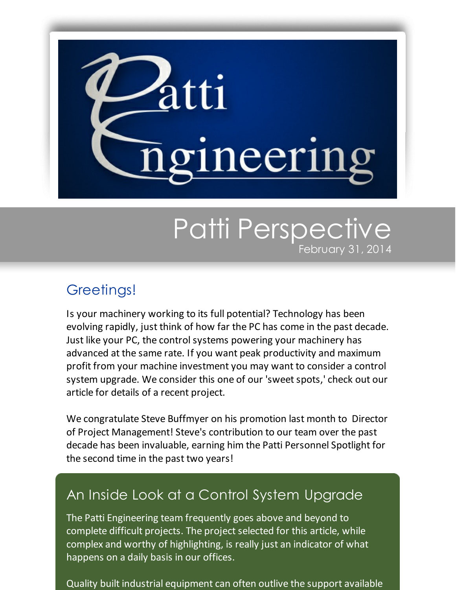

## Patti Perspective February 31, 2014

## Greetings!

Is your machinery working to its full potential? Technology has been evolving rapidly, just think of how far the PC has come in the past decade. Just like your PC, the control systems powering your machinery has advanced at the same rate. If you want peak productivity and maximum profit from your machine investment you may want to consider a control system upgrade. We consider this one of our 'sweet spots,' check out our article for details of a recent project.

We congratulate Steve Buffmyer on his promotion last month to Director of Project Management! Steve's contribution to our team over the past decade has been invaluable, earning him the Patti Personnel Spotlight for the second time in the past two years!

## An Inside Look at a Control System Upgrade

The Patti Engineering team frequently goes above and beyond to complete difficult projects. The project selected for this article, while complex and worthy of highlighting, is really just an indicator of what happens on a daily basis in our offices.

Quality built industrial equipment can often outlive the support available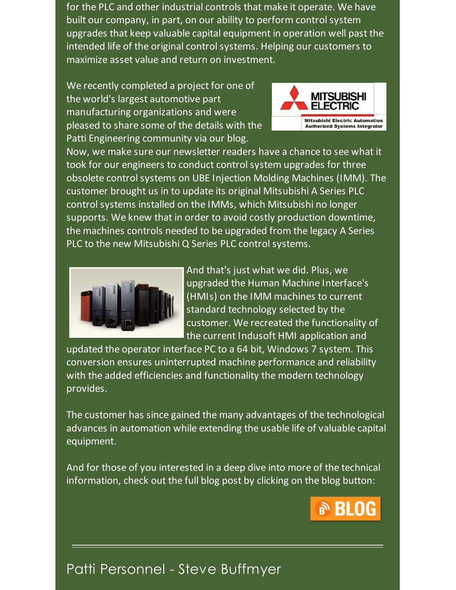for the PLC and other industrial controls that make it operate. We have built our company, in part, on our ability to perform controlsystem upgrades that keep valuable capital equipment in operation well past the intended life of the original control systems. Helping our customers to maximize asset value and return on investment.

We recently completed a project for one of the world's largest automotive part manufacturing organizations and were pleased to share some of the details with the Patti Engineering community via our blog.



Now, we make sure our newsletter readers have a chance to see what it took for our engineers to conduct control system upgrades for three obsolete control systems on UBE Injection Molding Machines (IMM). The customer brought us in to update its original Mitsubishi A Series PLC control systems installed on the IMMs, which Mitsubishi no longer supports. We knew that in order to avoid costly production downtime, the machines controls needed to be upgraded from the legacy A Series PLC to the new Mitsubishi Q Series PLC control systems.



And that's just what we did. Plus, we upgraded the Human Machine Interface's (HMIs) on the IMM machines to current standard technology selected by the customer. We recreated the functionality of the current Indusoft HMI application and

updated the operator interface PC to a 64 bit, Windows 7 system. This conversion ensures uninterrupted machine performance and reliability with the added efficiencies and functionality the modern technology provides.

The customer has since gained the many advantages of the technological advances in automation while extending the usable life of valuable capital equipment.

And for those of you interested in a deep dive into more of the technical information, check out the full blog post by clicking on the blog button:



## Patti Personnel - Steve Buffmyer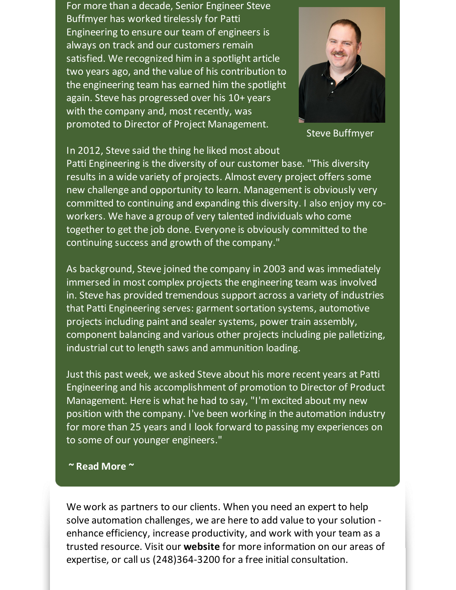For more than a decade, Senior Engineer Steve Buffmyer has worked tirelessly for Patti Engineering to ensure our team of engineers is always on track and our customers remain satisfied. We recognized him in a spotlight article two years ago, and the value of his contribution to the engineering team has earned him the spotlight again. Steve has progressed over his 10+ years with the company and, most recently, was promoted to Director of Project Management.



Steve Buffmyer

In 2012, Steve said the thing he liked most about

Patti Engineering is the diversity of our customer base. "This diversity results in a wide variety of projects. Almost every project offers some new challenge and opportunity to learn. Management is obviously very committed to continuing and expanding this diversity. I also enjoy my coworkers. We have a group of very talented individuals who come together to get the job done. Everyone is obviously committed to the continuing success and growth of the company."

As background, Steve joined the company in 2003 and was immediately immersed in most complex projects the engineering team was involved in. Steve has provided tremendous support across a variety of industries that Patti Engineering serves: garment sortation systems, automotive projects including paint and sealer systems, power train assembly, component balancing and various other projects including pie palletizing, industrial cut to length saws and ammunition loading.

Just this past week, we asked Steve about his more recent years at Patti Engineering and his accomplishment of promotion to Director of Product Management. Here is what he had to say, "I'm excited about my new position with the company. I've been working in the automation industry for more than 25 years and I look forward to passing my experiences on to some of our younger engineers."

**~ Read [More](https://origin.library.constantcontact.com/doc205/1101449641109/doc/JdWG6vCADccnoGVu.pdf) ~**

We work as partners to our clients. When you need an expert to help solve automation challenges, we are here to add value to your solution enhance efficiency, increase productivity, and work with your team as a trusted resource. Visit our **[website](http://www.pattieng.com/expertise.html?utm_source=Patti+Perspective_February_2014&utm_campaign=Newsletter+Feb+2014&utm_medium=email)** for more information on our areas of expertise, or call us (248)364-3200 for a free initial consultation.